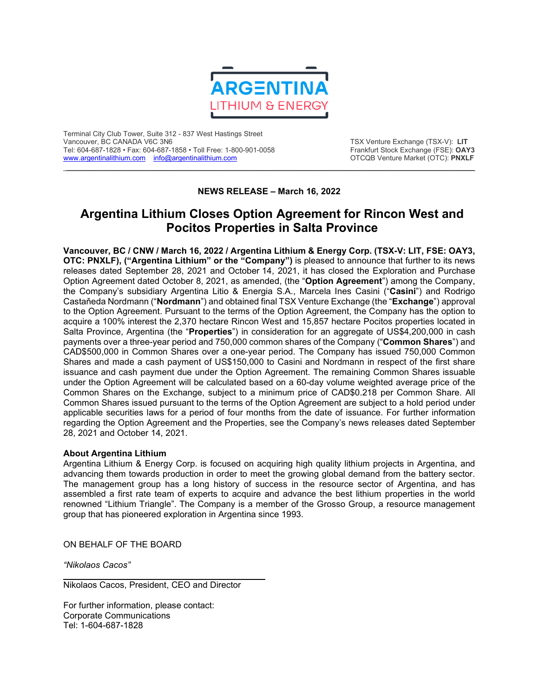

Terminal City Club Tower, Suite 312 - 837 West Hastings Street Tel: 604-687-1828 • Fax: 604-687-1858 • Toll Free: 1-800-901-0058 Frankfurt Stock Exchange (FSE): **OAY3** [www.argentinalithium.com](http://www.argentinalithium.com/) [info@argentinalithium.com](mailto:info@argentinalithium.com)

TSX Venture Exchange (TSX-V): LIT<br>Frankfurt Stock Exchange (FSE): OAY3

## **NEWS RELEASE – March 16, 2022**

\_\_\_\_\_\_\_\_\_\_\_\_\_\_\_\_\_\_\_\_\_\_\_\_\_\_\_\_\_\_\_\_\_\_\_\_\_\_\_\_\_\_\_\_\_\_\_\_\_\_\_\_\_\_\_\_\_\_\_\_\_\_\_\_\_\_\_\_\_\_\_\_\_\_\_\_\_\_\_\_\_\_\_\_\_\_\_\_\_\_\_\_

## **Argentina Lithium Closes Option Agreement for Rincon West and Pocitos Properties in Salta Province**

**Vancouver, BC / CNW / March 16, 2022 / Argentina Lithium & Energy Corp. (TSX-V: LIT, FSE: OAY3, OTC: PNXLF), ("Argentina Lithium" or the "Company")** is pleased to announce that further to its news releases dated September 28, 2021 and October 14, 2021, it has closed the Exploration and Purchase Option Agreement dated October 8, 2021, as amended, (the "**Option Agreement**") among the Company, the Company's subsidiary Argentina Litio & Energia S.A., Marcela Ines Casini ("**Casini**") and Rodrigo Castaňeda Nordmann ("**Nordmann**") and obtained final TSX Venture Exchange (the "**Exchange**") approval to the Option Agreement. Pursuant to the terms of the Option Agreement, the Company has the option to acquire a 100% interest the 2,370 hectare Rincon West and 15,857 hectare Pocitos properties located in Salta Province, Argentina (the "**Properties**") in consideration for an aggregate of US\$4,200,000 in cash payments over a three-year period and 750,000 common shares of the Company ("**Common Shares**") and CAD\$500,000 in Common Shares over a one-year period. The Company has issued 750,000 Common Shares and made a cash payment of US\$150,000 to Casini and Nordmann in respect of the first share issuance and cash payment due under the Option Agreement. The remaining Common Shares issuable under the Option Agreement will be calculated based on a 60-day volume weighted average price of the Common Shares on the Exchange, subject to a minimum price of CAD\$0.218 per Common Share. All Common Shares issued pursuant to the terms of the Option Agreement are subject to a hold period under applicable securities laws for a period of four months from the date of issuance. For further information regarding the Option Agreement and the Properties, see the Company's news releases dated September 28, 2021 and October 14, 2021.

## **About Argentina Lithium**

Argentina Lithium & Energy Corp. is focused on acquiring high quality lithium projects in Argentina, and advancing them towards production in order to meet the growing global demand from the battery sector. The management group has a long history of success in the resource sector of Argentina, and has assembled a first rate team of experts to acquire and advance the best lithium properties in the world renowned "Lithium Triangle". The Company is a member of the Grosso Group, a resource management group that has pioneered exploration in Argentina since 1993.

ON BEHALF OF THE BOARD

*"Nikolaos Cacos"*

Nikolaos Cacos, President, CEO and Director

For further information, please contact: Corporate Communications Tel: 1-604-687-1828